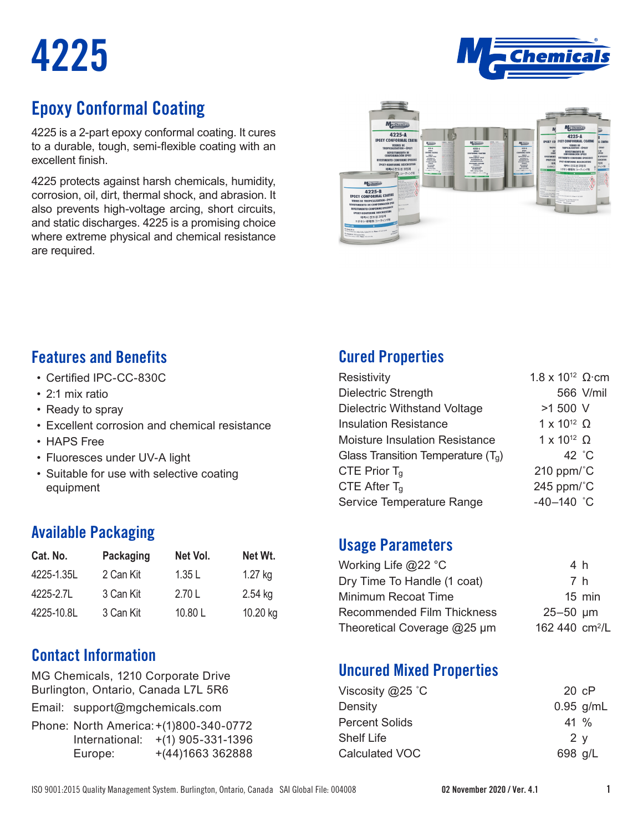# **4225**



# **Epoxy Conformal Coating**

4225 is a 2-part epoxy conformal coating. It cures to a durable, tough, semi-flexible coating with an excellent finish.

4225 protects against harsh chemicals, humidity, corrosion, oil, dirt, thermal shock, and abrasion. It also prevents high-voltage arcing, short circuits, and static discharges. 4225 is a promising choice where extreme physical and chemical resistance are required.



#### **Features and Benefits**

- • Certified IPC-CC-830C
- 2:1 mix ratio
- Ready to spray
- Excellent corrosion and chemical resistance
- HAPS Free
- Fluoresces under UV-A light
- Suitable for use with selective coating equipment

#### **Available Packaging**

| Cat. No.   | <b>Packaging</b> | Net Vol. | Net Wt.   |
|------------|------------------|----------|-----------|
| 4225-1.35L | 2 Can Kit        | 1.35L    | $1.27$ kg |
| 4225-2.7L  | 3 Can Kit        | 2.70 L   | 2.54 kg   |
| 4225-10.8L | 3 Can Kit        | 10.80L   | 10.20 kg  |

### **Contact Information**

MG Chemicals, 1210 Corporate Drive Burlington, Ontario, Canada L7L 5R6

Email: support@mgchemicals.com

Phone: North America: +(1)800-340-0772 International: +(1) 905-331-1396 Europe:  $+(44)1663362888$ 

# **Cured Properties**

| Resistivity                           | $1.8 \times 10^{12}$ Ω cm |           |
|---------------------------------------|---------------------------|-----------|
| Dielectric Strength                   |                           | 566 V/mil |
| <b>Dielectric Withstand Voltage</b>   | >1 500 V                  |           |
| <b>Insulation Resistance</b>          | $1 \times 10^{12}$ Ω      |           |
| <b>Moisture Insulation Resistance</b> | $1 \times 10^{12}$ Ω      |           |
| Glass Transition Temperature $(T_q)$  | 42 $^{\circ}$ C           |           |
| CTE Prior $T_q$                       | 210 ppm/ $^{\circ}$ C     |           |
| CTE After $T_q$                       | 245 ppm/ $^{\circ}$ C     |           |
| Service Temperature Range             | $-40-140$ °C              |           |

#### **Usage Parameters**

| Working Life @22 °C               | 4 h                        |
|-----------------------------------|----------------------------|
| Dry Time To Handle (1 coat)       | 7 h                        |
| Minimum Recoat Time               | $15$ min                   |
| <b>Recommended Film Thickness</b> | $25 - 50$ µm               |
| Theoretical Coverage @25 µm       | 162 440 cm <sup>2</sup> /L |
|                                   |                            |

### **Uncured Mixed Properties**

| $20 \text{ } cP$ |
|------------------|
| $0.95$ g/mL      |
| $41\%$           |
| 2 v              |
| 698 g/L          |
|                  |